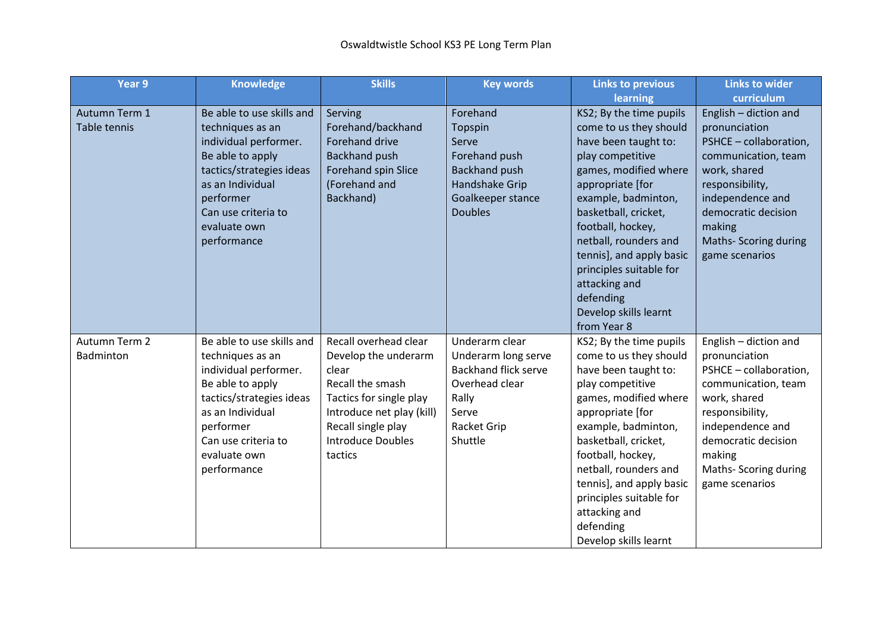| Year 9               | <b>Knowledge</b>          | <b>Skills</b>             | <b>Key words</b>            | <b>Links to previous</b>                          | <b>Links to wider</b>                  |
|----------------------|---------------------------|---------------------------|-----------------------------|---------------------------------------------------|----------------------------------------|
|                      |                           |                           |                             | learning                                          | curriculum                             |
| Autumn Term 1        | Be able to use skills and | Serving                   | Forehand                    | KS2; By the time pupils                           | English - diction and                  |
| Table tennis         | techniques as an          | Forehand/backhand         | Topspin                     | come to us they should                            | pronunciation                          |
|                      | individual performer.     | <b>Forehand drive</b>     | Serve                       | have been taught to:                              | PSHCE - collaboration,                 |
|                      | Be able to apply          | <b>Backhand push</b>      | Forehand push               | play competitive                                  | communication, team                    |
|                      | tactics/strategies ideas  | Forehand spin Slice       | <b>Backhand push</b>        | games, modified where                             | work, shared                           |
|                      | as an Individual          | (Forehand and             | Handshake Grip              | appropriate [for                                  | responsibility,                        |
|                      | performer                 | Backhand)                 | Goalkeeper stance           | example, badminton,                               | independence and                       |
|                      | Can use criteria to       |                           | <b>Doubles</b>              | basketball, cricket,                              | democratic decision                    |
|                      | evaluate own              |                           |                             | football, hockey,                                 | making                                 |
|                      | performance               |                           |                             | netball, rounders and                             | Maths- Scoring during                  |
|                      |                           |                           |                             | tennis], and apply basic                          | game scenarios                         |
|                      |                           |                           |                             | principles suitable for                           |                                        |
|                      |                           |                           |                             | attacking and                                     |                                        |
|                      |                           |                           |                             | defending                                         |                                        |
|                      |                           |                           |                             | Develop skills learnt<br>from Year 8              |                                        |
| <b>Autumn Term 2</b> | Be able to use skills and | Recall overhead clear     | Underarm clear              |                                                   |                                        |
| Badminton            | techniques as an          | Develop the underarm      | Underarm long serve         | KS2; By the time pupils<br>come to us they should | English - diction and<br>pronunciation |
|                      | individual performer.     | clear                     | <b>Backhand flick serve</b> | have been taught to:                              | PSHCE - collaboration,                 |
|                      | Be able to apply          | Recall the smash          | Overhead clear              | play competitive                                  | communication, team                    |
|                      | tactics/strategies ideas  | Tactics for single play   | Rally                       | games, modified where                             | work, shared                           |
|                      | as an Individual          | Introduce net play (kill) | Serve                       | appropriate [for                                  | responsibility,                        |
|                      | performer                 | Recall single play        | Racket Grip                 | example, badminton,                               | independence and                       |
|                      | Can use criteria to       | <b>Introduce Doubles</b>  | Shuttle                     | basketball, cricket,                              | democratic decision                    |
|                      | evaluate own              | tactics                   |                             | football, hockey,                                 | making                                 |
|                      | performance               |                           |                             | netball, rounders and                             | Maths- Scoring during                  |
|                      |                           |                           |                             | tennis], and apply basic                          | game scenarios                         |
|                      |                           |                           |                             | principles suitable for                           |                                        |
|                      |                           |                           |                             | attacking and                                     |                                        |
|                      |                           |                           |                             | defending                                         |                                        |
|                      |                           |                           |                             | Develop skills learnt                             |                                        |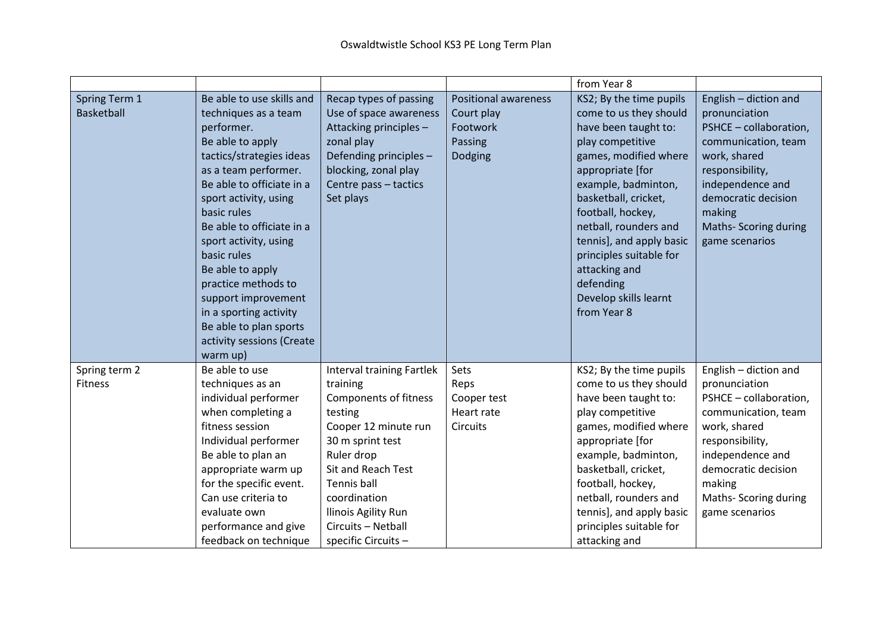|                                    |                                                                                                                                                                                                                                                                                                                                                                                                                                                  |                                                                                                                                                                                                                                                                    |                                                                             | from Year 8                                                                                                                                                                                                                                                                                                                                                          |                                                                                                                                                                                                                            |
|------------------------------------|--------------------------------------------------------------------------------------------------------------------------------------------------------------------------------------------------------------------------------------------------------------------------------------------------------------------------------------------------------------------------------------------------------------------------------------------------|--------------------------------------------------------------------------------------------------------------------------------------------------------------------------------------------------------------------------------------------------------------------|-----------------------------------------------------------------------------|----------------------------------------------------------------------------------------------------------------------------------------------------------------------------------------------------------------------------------------------------------------------------------------------------------------------------------------------------------------------|----------------------------------------------------------------------------------------------------------------------------------------------------------------------------------------------------------------------------|
| Spring Term 1<br><b>Basketball</b> | Be able to use skills and<br>techniques as a team<br>performer.<br>Be able to apply<br>tactics/strategies ideas<br>as a team performer.<br>Be able to officiate in a<br>sport activity, using<br>basic rules<br>Be able to officiate in a<br>sport activity, using<br>basic rules<br>Be able to apply<br>practice methods to<br>support improvement<br>in a sporting activity<br>Be able to plan sports<br>activity sessions (Create<br>warm up) | Recap types of passing<br>Use of space awareness<br>Attacking principles -<br>zonal play<br>Defending principles -<br>blocking, zonal play<br>Centre pass - tactics<br>Set plays                                                                                   | <b>Positional awareness</b><br>Court play<br>Footwork<br>Passing<br>Dodging | KS2; By the time pupils<br>come to us they should<br>have been taught to:<br>play competitive<br>games, modified where<br>appropriate [for<br>example, badminton,<br>basketball, cricket,<br>football, hockey,<br>netball, rounders and<br>tennis], and apply basic<br>principles suitable for<br>attacking and<br>defending<br>Develop skills learnt<br>from Year 8 | English - diction and<br>pronunciation<br>PSHCE - collaboration,<br>communication, team<br>work, shared<br>responsibility,<br>independence and<br>democratic decision<br>making<br>Maths- Scoring during<br>game scenarios |
| Spring term 2<br>Fitness           | Be able to use<br>techniques as an<br>individual performer<br>when completing a<br>fitness session<br>Individual performer<br>Be able to plan an<br>appropriate warm up<br>for the specific event.<br>Can use criteria to<br>evaluate own<br>performance and give<br>feedback on technique                                                                                                                                                       | Interval training Fartlek<br>training<br>Components of fitness<br>testing<br>Cooper 12 minute run<br>30 m sprint test<br>Ruler drop<br><b>Sit and Reach Test</b><br>Tennis ball<br>coordination<br>Ilinois Agility Run<br>Circuits - Netball<br>specific Circuits- | Sets<br>Reps<br>Cooper test<br>Heart rate<br>Circuits                       | KS2; By the time pupils<br>come to us they should<br>have been taught to:<br>play competitive<br>games, modified where<br>appropriate [for<br>example, badminton,<br>basketball, cricket,<br>football, hockey,<br>netball, rounders and<br>tennis], and apply basic<br>principles suitable for<br>attacking and                                                      | English - diction and<br>pronunciation<br>PSHCE - collaboration,<br>communication, team<br>work, shared<br>responsibility,<br>independence and<br>democratic decision<br>making<br>Maths- Scoring during<br>game scenarios |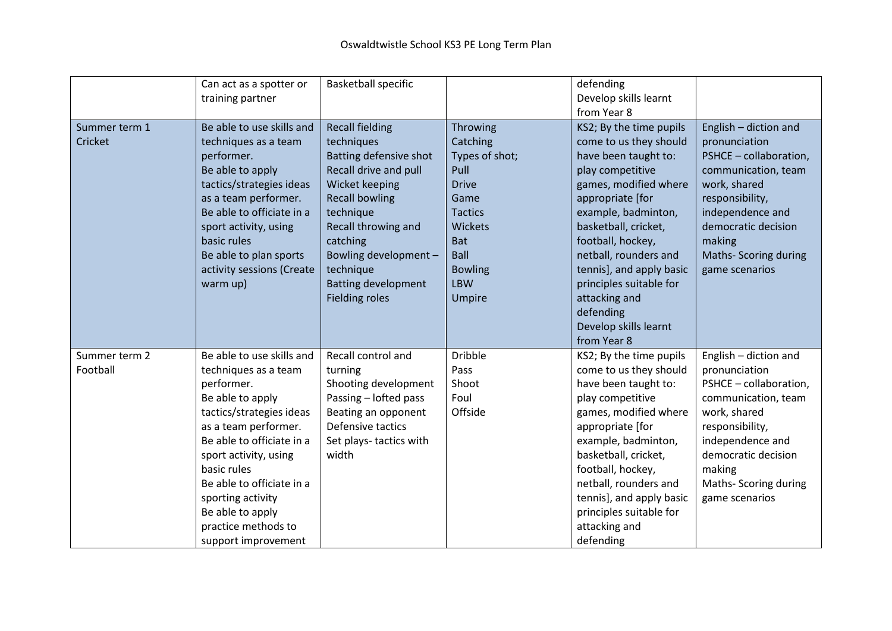|                           | Can act as a spotter or<br>training partner                                                                                                                                                                                                                                                                                      | <b>Basketball specific</b>                                                                                                                                                                                                                                                      |                                                                                                                                                                                   | defending<br>Develop skills learnt<br>from Year 8                                                                                                                                                                                                                                                                                                                    |                                                                                                                                                                                                                            |
|---------------------------|----------------------------------------------------------------------------------------------------------------------------------------------------------------------------------------------------------------------------------------------------------------------------------------------------------------------------------|---------------------------------------------------------------------------------------------------------------------------------------------------------------------------------------------------------------------------------------------------------------------------------|-----------------------------------------------------------------------------------------------------------------------------------------------------------------------------------|----------------------------------------------------------------------------------------------------------------------------------------------------------------------------------------------------------------------------------------------------------------------------------------------------------------------------------------------------------------------|----------------------------------------------------------------------------------------------------------------------------------------------------------------------------------------------------------------------------|
| Summer term 1<br>Cricket  | Be able to use skills and<br>techniques as a team<br>performer.<br>Be able to apply<br>tactics/strategies ideas<br>as a team performer.<br>Be able to officiate in a<br>sport activity, using<br>basic rules<br>Be able to plan sports<br>activity sessions (Create<br>warm up)                                                  | <b>Recall fielding</b><br>techniques<br>Batting defensive shot<br>Recall drive and pull<br>Wicket keeping<br><b>Recall bowling</b><br>technique<br>Recall throwing and<br>catching<br>Bowling development -<br>technique<br><b>Batting development</b><br><b>Fielding roles</b> | Throwing<br>Catching<br>Types of shot;<br>Pull<br><b>Drive</b><br>Game<br><b>Tactics</b><br><b>Wickets</b><br><b>Bat</b><br><b>Ball</b><br><b>Bowling</b><br><b>LBW</b><br>Umpire | KS2; By the time pupils<br>come to us they should<br>have been taught to:<br>play competitive<br>games, modified where<br>appropriate [for<br>example, badminton,<br>basketball, cricket,<br>football, hockey,<br>netball, rounders and<br>tennis], and apply basic<br>principles suitable for<br>attacking and<br>defending<br>Develop skills learnt<br>from Year 8 | English - diction and<br>pronunciation<br>PSHCE - collaboration,<br>communication, team<br>work, shared<br>responsibility,<br>independence and<br>democratic decision<br>making<br>Maths- Scoring during<br>game scenarios |
| Summer term 2<br>Football | Be able to use skills and<br>techniques as a team<br>performer.<br>Be able to apply<br>tactics/strategies ideas<br>as a team performer.<br>Be able to officiate in a<br>sport activity, using<br>basic rules<br>Be able to officiate in a<br>sporting activity<br>Be able to apply<br>practice methods to<br>support improvement | Recall control and<br>turning<br>Shooting development<br>Passing - lofted pass<br>Beating an opponent<br>Defensive tactics<br>Set plays-tactics with<br>width                                                                                                                   | <b>Dribble</b><br>Pass<br>Shoot<br>Foul<br>Offside                                                                                                                                | KS2; By the time pupils<br>come to us they should<br>have been taught to:<br>play competitive<br>games, modified where<br>appropriate [for<br>example, badminton,<br>basketball, cricket,<br>football, hockey,<br>netball, rounders and<br>tennis], and apply basic<br>principles suitable for<br>attacking and<br>defending                                         | English - diction and<br>pronunciation<br>PSHCE - collaboration,<br>communication, team<br>work, shared<br>responsibility,<br>independence and<br>democratic decision<br>making<br>Maths- Scoring during<br>game scenarios |